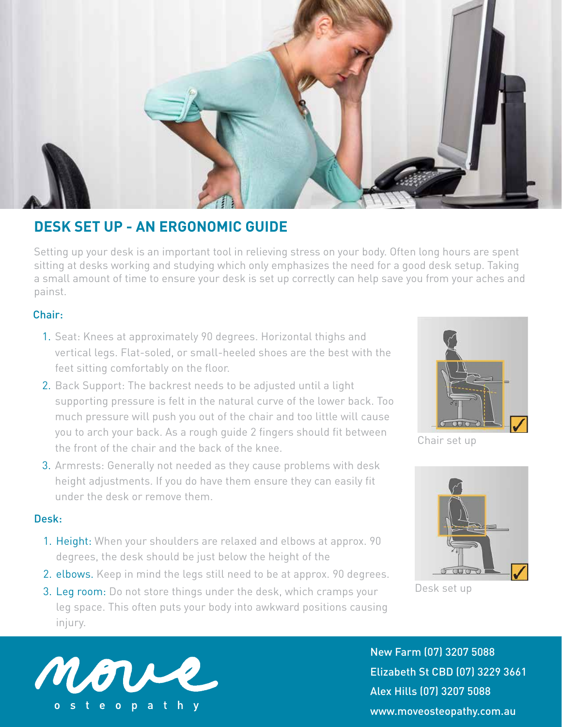

# **DESK SET UP - AN ERGONOMIC GUIDE**

Setting up your desk is an important tool in relieving stress on your body. Often long hours are spent sitting at desks working and studying which only emphasizes the need for a good desk setup. Taking a small amount of time to ensure your desk is set up correctly can help save you from your aches and painst.

## Chair:

- 1. Seat: Knees at approximately 90 degrees. Horizontal thighs and vertical legs. Flat-soled, or small-heeled shoes are the best with the feet sitting comfortably on the floor.
- 2. Back Support: The backrest needs to be adjusted until a light supporting pressure is felt in the natural curve of the lower back. Too much pressure will push you out of the chair and too little will cause you to arch your back. As a rough guide 2 fingers should fit between the front of the chair and the back of the knee.
- 3. Armrests: Generally not needed as they cause problems with desk height adjustments. If you do have them ensure they can easily fit under the desk or remove them.

#### Desk:

- 1. Height: When your shoulders are relaxed and elbows at approx. 90 degrees, the desk should be just below the height of the
- 2. elbows. Keep in mind the legs still need to be at approx. 90 degrees.





Chair set up



Desk set up



New Farm (07) 3207 5088 Elizabeth St CBD (07) 3229 3661 Alex Hills (07) 3207 5088 www.moveosteopathy.com.au